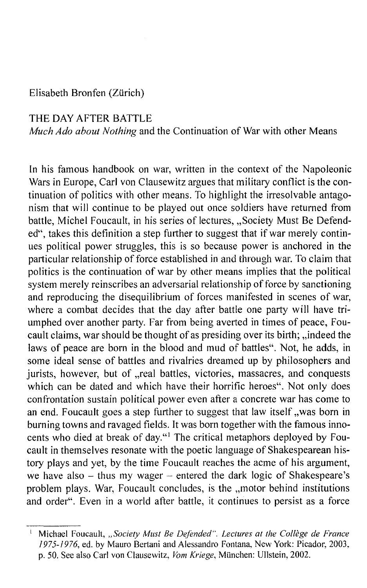## Elisabeth Bronfen (Zürich)

## THE DAY AFTER BATTLE

*Much Ado about Nothing* and the Continuation of War with other Means

In his famous handbook on war, written in the context of the Napoleonic Wars in Europe, Carl von Clausewitz argues that military conflict is the continuation of politics with other means. To highlight the irresolvable antagonism that will continue to be played out once soldiers have returned from battle, Michel Foucault, in his series of lectures, "Society Must Be Defended", takes this definition a step further to suggest that if war merely continues political power struggles, this is so because power is anchored in the particular relationship of force established in and through war. To claim that politics is the continuation of war by other means implies that the political system merely reinscribes an adversarial relationship of force by sanctioning and reproducing the disequilibrium of forces manifested in scenes of war, where a combat decides that the day after battle one party will have triumphed over another party. Far from being averted in times of peace, Foucault claims, war should be thought of as presiding over its birth; "indeed the laws of peace are born in the blood and mud of battles". Not, he adds, in some ideal sense of battles and rivalries dreamed up by philosophers and jurists, however, but of "real battles, victories, massacres, and conquests which can be dated and which have their horrific heroes". Not only does confrontation sustain political power even after a concrete war has come to an end. Foucault goes a step further to suggest that law itself "was born in burning towns and ravaged fields. It was born together with the famous innocents who died at break of day."1 The critical metaphors deployed by Foucault in themselves resonate with the poetic language of Shakespearean history plays and yet, by the time Foucault reaches the acme of his argument, we have also – thus my wager – entered the dark logic of Shakespeare's problem plays. War, Foucault concludes, is the "motor behind institutions and order". Even in a world after battle, it continues to persist as a force

<sup>I</sup>Michael Foucault, *"Society Must Be Defended", Lectures at the College de France*  1975-1976, ed. by Mauro Bertani and Alessandro Fontana, New York: Picador, 2003, p. 50, See also Carl von Clausewitz, Vom *Kriege,* Miinchen: Ullstein, 2002.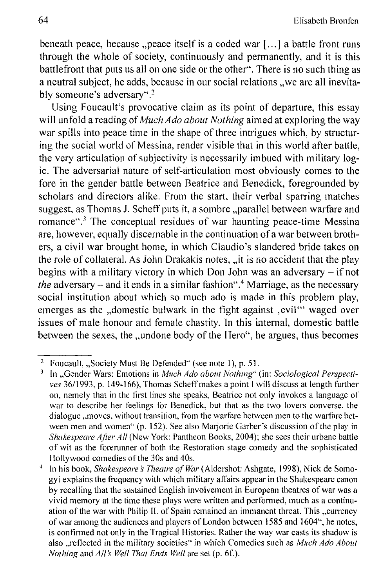beneath peace, because "peace itself is a coded war [...] a battle front runs through the whole of society, continuously and permanently, and it is this battlefront that puts us all on one side or the other". There is no such thing as a neutral subject, he adds, because in our social relations , we are all inevitably someone's adversary".<sup>2</sup>

Using Foucault's provocative claim as its point of depatture, this essay will unfold a reading of *Much Ado about Nothing* aimed at exploring the way war spills into peace time in the shape of three intrigues which, by structuring the social world of Messina, render visible that in this world after battle, the very articulation of subjectivity is necessarily imbued with military logic. The adversarial nature of self-articulation most obviously comes to the fore in the gender battle between Beatrice and Benedick, foregrounded by scholars and directors alike. From the start, their verbal sparring matches suggest, as Thomas J. Scheff puts it, a sombre "parallel between warfare and romance".3 The conceptual residues of war haunting peace-time Messina are, however, equally discernable in the continuation ofa war between brothers, a civil war brought home, in which Claudio's slandered bride takes on the role of collateral. As John Drakakis notes, "it is no accident that the play begins with a military victory in which Don John was an adversary - if not *the* adversary – and it ends in a similar fashion".<sup>4</sup> Marriage, as the necessary social institution about which so much ado is made in this problem play, emerges as the "domestic bulwark in the fight against ,evil" waged over issues of male honour and female chastity. In this internal, domestic battle between the sexes, the "undone body of the Hero", he argues, thus becomes

<sup>&</sup>lt;sup>2</sup> Foucault, "Society Must Be Defended" (see note 1), p. 51.

<sup>&</sup>lt;sup>3</sup> In "Gender Wars: Emotions in *Much Ado about Nothing"* (in: *Sociological Perspectives 36/1993,* p. 149-166), Thomas Scheff makes a point I will discuss at length further on, namely that in the tirst lines she speaks. Beatrice not only invokes a language of war to describe her feelings for Benedick, but that as the two lovers converse. the dialogue ,, moves, without transition, from the warfare between men to the warfare between men and women" (p. 152). See also Marjorie Garber's discussion of the play in *Shakespeare After All* (New York: Pantheon Books, 2004): she sees their urbane battle of wit as the forerunner of both the Restoration stage comedy and the sophisticated Hollywood comedies of the 30s and 40s.

<sup>4</sup> In his book, *Shakespeare* s' *Theatre of War* (Aldershot: Ashgate. 1998), Nick de Somogyi explains the frequency with which military affairs appear in the Shakespeare canon by recalling that the sustained English involvement in European theatres of war was a vivid memory at the time these plays were written and performed, much as a continuation of the war with Philip II. of Spain remained an immanent threat. This "currency of war among the audiences and players of London between 1585 and 1604", he notes, is confirmed not only in the Tragical Histories. Rather the way war casts its shadow is also "reflected in the military societies" in which Comedies such as *Much Ado About Nothing and All's Well That Ends Well are set (p. 6f.).*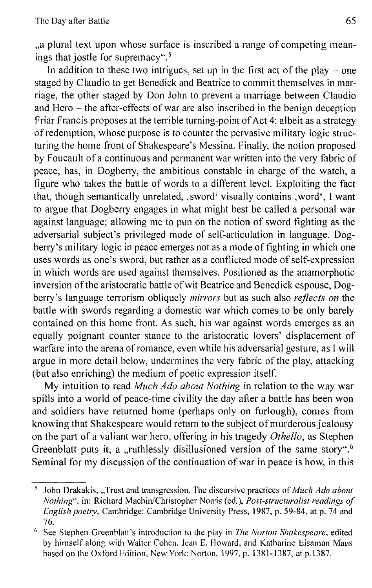..a plural text upon whose surface is inscribed a range of competing meanings that jostle for supremacy". 5

**[n** addition to these two intrigues, set up in the first act of the play - one staged by Claudio to get Benedick and Beatrice to commit themselves in marriage, the other staged by Don John to prevent a marriage between Claudio and Hero - the after-effects of war are also inscribed in the benign deception Friar Francis proposes at the terrible turning-point of Act 4; albeit as a strategy of redemption, whose purpose is to counter the pervasive military logic structuring the home front of Shakespeare's Messina. Finally, the notion proposed by Foucault of a continuous and permanent war written into the very fabric of peace, has, in Dogberry, the ambitious constable in charge of the watch, a figure who takes the battle of words to a different level. Exploiting the fact that, though semantically unrelated, ,sword' visually contains, word', I want to argue that Dogberry engages in what might best be called a personal war against language; allowing me to pun on the notion of sword fighting as the adversarial subject's privileged mode of self-articulation in language. Dogberry's military logic in peace emerges not as a mode of fighting in which one uses words as one's sword, but rather as a conflicted mode of self-expression in which words are used against themselves. Positioned as the anamorphotic inversion of the aristocratic battle of wit Beatrice and Benedick espouse, Dogberry's language terrorism obliquely *mirrors* but as such also *reflects on* the battle with swords regarding a domestic war which comes to be only barely contained on this home front. As such, his war against words emerges as an equally poignant counter stance to the aristocratic lovers' displacement of warfare into the arena of romance, even while his adversarial gesture, as I will argue in more detail below, undermines the very fabric of the play, attacking (but also enriching) the medium of poetic expression itself

My intuition to read *Much Ado about Nothing* in relation to the way war spills into a world of peace-time civility the day after a battle has been won and soldiers have returned home (perhaps only on furlough), comes from knowing that Shakespeare would return to the subject of murderous jealousy on the part of a valiant war hero, offering in his tragedy *Othello,* as Stephen Greenblatt puts it, a "ruthlessly disillusioned version of the same story".<sup>6</sup> Seminal for my discussion of the continuation of war in peace is how, in this

<sup>5</sup> John Drakakis, "Trust and transgression. The discursive practices of *Much Ado about Nothing",* in: Richard Machin/Christopher Norris (ed.), *Post-structuralist readings of English poetry,* Cambridge: Cambridge University Press, 1987, p. 59-84, at p. 74 and 76.

<sup>&</sup>lt;sup>6</sup> See Stephen Greenblatt's introduction to the play in *The Norton Shakespeare*, edited by himself along with Walter Cohen, Jean E. Howard. and Katharine Eisaman Maus based on the Oxford Edition, New York: Norton, 1997, p. 1381-1387, at p. 1387.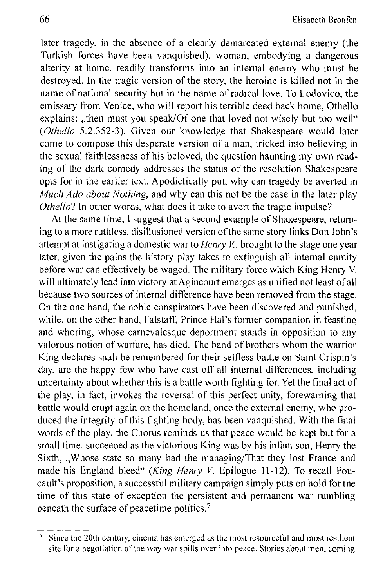later tragedy, in the absence of a clearly demarcated external enemy (the Turkish forces have been vanquished), woman, embodying a dangerous alterity at home, readily transforms into an internal enemy who must be destroyed. In the tragic version of the story, the heroine is killed not in the name of national security but in the name of radical love. To Lodovico, the emissary from Venice, who will report his terrible deed back home, Othello explains: "then must you speak/Of one that loved not wisely but too well" *(Othello* 5.2.352-3). Given our knowledge that Shakespeare would later come to compose this desperate version of a man, tricked into believing in the sexual faithlessness of his beloved, the question haunting my own reading of the dark comedy addresses the status of the resolution Shakespeare opts for in the earlier text. Apodictically put, why can tragedy be averted in *Much Ado about Nothing,* and why can this not be the case in the later play *Othello*? In other words, what does it take to avert the tragic impulse?

At the same time, I suggest that a second example of Shakespeare, returning to a more ruthless, disillusioned version of the same story links Don John's attempt at instigating a domestic war to *Henry v.,* brought to the stage one year later, given the pains the history play takes to extinguish all internal enmity before war can effectively be waged. The military force which King Henry V. will ultimately lead into victory at Agincourt emerges as unified not least of all because two sources of internal difference have been removed from the stage. On the one hand, the noble conspirators have been discovered and punished, while, on the other hand, Falstaff, Prince Hal's former companion in feasting and whoring, whose carnevalesque deportment stands in opposition to any valorous notion of warfare, has died. The band of brothers whom the warrior King declares shall be remembered for their selfless battle on Saint Crispin's day, are the happy few who have cast off all internal differences, including uncertainty about whether this is a battle worth fighting for. Yet the final act of the play, in fact, invokes the reversal of this perfect unity, forewarning that battle would erupt again on the homeland, once the external enemy, who produced the integrity of this fighting body, has been vanquished. With the final words of the play, the Chorus reminds us that peace would be kept but for a small time, succeeded as the victorious King was by his infant son, Henry the Sixth, "Whose state so many had the managing/That they lost France and made his England bleed" *(King Henry V,* Epilogue 11-12). To recall Foucault's proposition, a successful military campaign simply puts on hold for the time of this state of exception the persistent and permanent war rumbling beneath the surface of peacetime politics.<sup>7</sup>

 $7$  Since the 20th century, cinema has emerged as the most resourceful and most resilient site for a negotiation of the way war spills over into peace. Stories about men, coming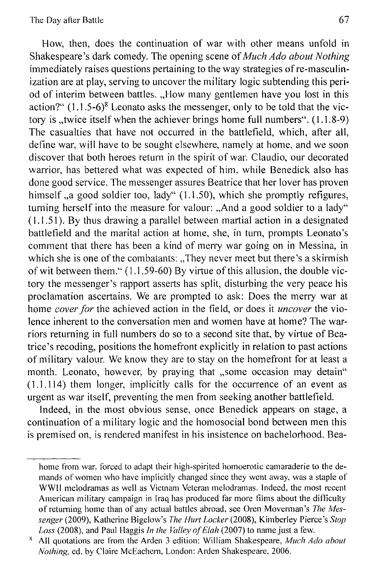How, then, does the continuation of war with other means unfold in Shakespeare's dark comedy. The opening scene of *Much Ado about Nothing*  immediately raises questions pertaining to the way strategies of re-masculinization are at play, serving to uncover the military logic subtending this period of interim between battles. ..How many gentlemen have you lost in this action?"  $(1.1.5-6)^8$  Leonato asks the messenger, only to be told that the victory is "twice itself when the achiever brings home full numbers".  $(1.1.8-9)$ The casualties that have not occurred in the battlefield, which, after all, define war, will have to be sought elsewhere, namely at home, and we soon discover that both heroes return in the spirit of war. Claudio, our decorated warrior, has bettered what was expected of him, while Benedick also has done good service. The messenger assures Beatrice that her lover has proven himself "a good soldier too, lady" (1.1.50), which she promptly refigures, turning herself into the measure for valour: "And a good soldier to a lady" (1.1.51). By thus drawing a parallel between martial action in a designated battlefield and the marital action at home, she, in turn, prompts Leonato's comment that there has been a kind of merry war going on in Messina, in which she is one of the combatants: "They never meet but there's a skirmish of wit between them." (1.1.59-60) By virtue of this allusion, the double victory the messenger's rapport asserts has split, disturbing the very peace his proclamation ascertains. We are prompted to ask: Does the merry war at home *cover for* the achieved action in the field, or does it *uncover* the violence inherent to the conversation men and women have at home? The warriors returning in full numbers do so to a second site that, by virtue of Beatrice's recoding, positions the homefront explicitly in relation to past actions of military valour. We know they are to stay on the homefront for at least a month. Leonato, however, by praying that "some occasion may detain" (1.1.114) them longer, implicitly calls for the occurrence of an event as urgent as war itself, preventing the men from seeking another battlefield.

Indeed, in the most obvious sense, once Benedick appears on stage, a continuation of a military logic and the homosocial bond between men this is premised on, is rendered manifest in his insistence on bachelorhood. Bea-

home from war. forced to adapt their high-spirited homoerotic camaraderie to the demands of women who have implicitly changed since they went away, was a staple of WWII melodramas as well as Vietnam Veteran melodramas. Indeed. the most recent American military campaign in Iraq has produced far more films about the difficulty of returning home than of any actual battles abroad. see Oren Movennan's *The Messenger* (2009), Katherine Bigelow's *The Hurt Locker* (2008), Kimberley Pierce's *Stop Loss* (2008), and Paul Haggis *111 the Valley of Elah* (2007) to name just a few.

<sup>&</sup>lt;sup>8</sup> All quotations are from the Arden 3 edition: William Shakespeare, *Much Ado about Nothing,* ed. by Claire McEachern. London: Arden Shakespeare, 2006.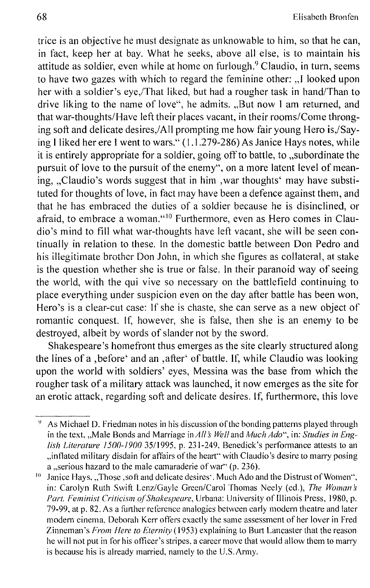trice is an objective he must designate as unknowable to him, so that he can, in fact, keep her at bay. What he seeks, above all else, is to maintain his attitude as soldier, even while at home on furlough.<sup>9</sup> Claudio, in turn, seems to have two gazes with which to regard the feminine other: ,,1 looked upon her with a soldier's eye/That liked, but had a rougher task in hand/Than to drive liking to the name of love", he admits. "But now I am returned, and that war-thoughts/Have left their places vacant, in their rooms/Come thronging soft and delicate desires,/All prompting me how fair young Hero is,/Saying I liked her ere I went to wars." (1.1.279-286) As Janice Hays notes, while it is entirely appropriate for a soldier, going off to battle, to ...subordinate the pursuit of love to the pursuit of the enemy", on a more latent level of meaning. ..Claudio's words suggest that in him , war thoughts' may have substituted for thoughts of love, in fact may have been a defence against them, and that he has embraced the duties of a soldier because he is disinclined, or afraid, to embrace a woman.'''o Furthermore, even as Hero comes in Claudio's mind to fill what war-thoughts have lett vacant, she will be seen continually in relation to these. In the domestic battle between Don Pedro and his illegitimate brother Don John, in which she figures as collateral, at stake is the question whether she is true or false. In their paranoid way of seeing the world, with the qui vive so necessary on the battlefield continuing to place everything under suspicion even on the day after battle has been won, Hero's is a clear-cut case: If she is chaste, she can serve as a new object of romantic conquest. If, however, she is false, then she is an enemy to be destroyed, albeit by words of slander not by the sword.

Shakespeare's homefront thus emerges as the site clearly structured along the lines of a , before' and an , after' of battle. If, while Claudio was looking upon the world with soldiers' eyes, Messina was the base from which the rougher task of a military attack was launched, it now emerges as the site for an erotic attack, regarding soft and delicate desires. If, furthermore, this love

<sup>&</sup>lt;sup>9</sup> As Michael D. Friedman notes in his discussion of the bonding patterns played through in the text, "Male Bonds and Marriage in *All's Well* and *Much Ado*", in: *Studies in English Literature 1500-1900 35/1995*, p. 231-249. Benedick's performance attests to an ,.inflated military disdain for affairs of the heart" with Claudio's desire to marry posing a "serious hazard to the male camaraderie of war" (p. 236).

<sup>&</sup>lt;sup>10</sup> Janice Hays, .,Those ,soft and delicate desires'. Much Ado and the Distrust of Women", in: Carolyn Ruth Swift Lenz/Gayle Green/Carol Thomas Neely (ed.), *The Woman's* Part. Feminist Criticism of Shakespeare, Urbana: University of Illinois Press, 1980, p. 79-99. at p. 82. As a further reference analogies between early modem theatre and later modern cinema, Deborah Kerr offers exactly the same assessment of her lover in Fred Zinneman's *From Here to Eternity* (1953) explaining to Burt Lancaster that the reason he will not put in for his officer's stripes, a career move that would allow them to marry is because his is already married, namely to the U.S.Army.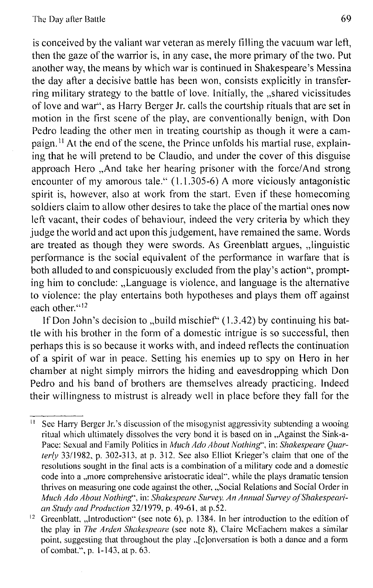is conceived by the valiant war veteran as merely filling the vacuum war left, then the gaze of the warrior is, in any case, the more primary of the two. Put another way, the means by which war is continued in Shakespeare's Messina the day after a decisive battle has been won, consists explicitly in transferring military strategy to the battle of love. Initially, the ...shared vicissitudes of love and war", as Harry Berger Jr. calls the courtship rituals that are set in motion in the first scene of the play, are conventionally benign, with Don Pedro leading the other men in treating courtship as though it were a campaign.11 At the end of the scene, the Prince unfolds his martial ruse, explaining that he will pretend to be Claudio, and under the cover of this disguise approach Hero "And take her hearing prisoner with the force/And strong encounter of my amorous tale." (1.1.305-6) A more viciously antagonistic spirit is, however, also at work from the start. Even if these homecoming soldiers claim to allow other desires to take the place of the martial ones now left vacant, their codes of behaviour, indeed the very criteria by which they judge the world and act upon this judgement, have remained the same. Words are treated as though they were swords. As Greenblatt argues, "linguistic performance is the social equivalent of the performance in warfare that is both alluded to and conspicuously excluded from the play's action", prompting him to conclude: "Language is violence, and language is the alternative to violence: the play entertains both hypotheses and plays them off against each other."<sup>12</sup>

If Don John's decision to "build mischief"  $(1.3.42)$  by continuing his battle with his brother in the form of a domestic intrigue is so successful, then perhaps this is so because it works with, and indeed reflects the continuation of a spirit of war in peace. Setting his enemies up to spy on Hero **in** her chamber at night simply mirrors the hiding and eavesdropping which Don Pedro and his band of brothers are themselves already practicing. Indeed their willingness to mistrust is already well in place before they fall for the

 $\frac{11}{11}$  See Harry Berger Jr.'s discussion of the misogynist aggressivity subtending a wooing ritual which ultimately dissolves the very bond it is based on in . Against the Sink-a-Pace: Sexual and Family Politics in *Much Ado About Nothing",* in: *Shakespeare Quarter!v* 33/1982, p. 302-313. at p. 312. See also Elliot Krieger's claim that one of the resolutions sought in the final acts is a combination of a military code and a domestic code into a "more comprehensive aristocratic ideal", while the plays dramatic tension thrives on measuring one code against the other, "Social Relations and Social Order in *Much Ado About Nothing",* in: *Shakespeare Survey. An Annual Survey a/Shakespearian Study and Production* 32/1979. p. 49-61. at p.52.

<sup>&</sup>lt;sup>12</sup> Greenblatt, "Introduction" (see note 6), p. 1384. In her introduction to the edition of the play in *The Arden Shakespeare* (see note 8), Claire McEachern makes a similar point, suggesting that throughout the play .. [c]onversation is both a dance and a form of combat.", p. 1-143, at p. 63.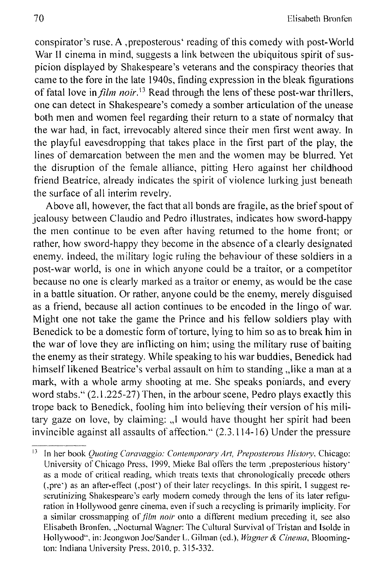conspirator's ruse. A ,preposterous' reading of this comedy with post-World War II cinema in mind, suggests a link between the ubiquitous spirit of suspicion displayed by Shakespeare's veterans and the conspiracy theories that came to the fore in the late 1940s, finding expression in the bleak figurations of fatal love in *film noir*.<sup>13</sup> Read through the lens of these post-war thrillers, one can detect in Shakespeare's comedy a somber articulation of the unease both men and women feel regarding their return to a state of normalcy that the war had, in fact, irrevocably altered since their men first went away. **In**  the playful eavesdropping that takes place in the first part of the play, the lines of demarcation between the men and the women may be blurred. Yet the disruption of the female alliance, pitting Hero against her childhood friend Beatrice, already indicates the spirit of violence lurking just beneath the surface of all interim revelry.

Above all, however, the fact that all bonds are fragile, as the brief spout of jealousy between Claudio and Pedro illustrates, indicates how sword-happy the men continue to be even after having returned to the home front; or rather, how sword-happy they become in the absence of a clearly designated enemy. indeed, the military logic ruling the behaviour of these soldiers in a post-war world, is one in which anyone could be a traitor, or a competitor because no one is clearly marked as a traitor or enemy, as would be the case in a battle situation. Or rather, anyone could be the enemy, merely disguised as a friend, because all action continues to be encoded in the lingo of war. Might one not take the game the Prince and his fellow soldiers play with Benedick to be a domestic form of torture, lying to him so as to break him in the war of love they are inflicting on him; using the military ruse of baiting the enemy as their strategy. While speaking to his war buddies, Benedick had himself likened Beatrice's verbal assault on him to standing . like a man at a mark, with a whole army shooting at me. She speaks poniards, and every word stabs." (2.1.225-27) Then, in the arbour scene, Pedro plays exactly this trope back to Benedick, fooling him into believing their version of his military gaze on love, by claiming: ,,1 would have thought her spirit had been invincible against all assaults of affection."  $(2.3.114-16)$  Under the pressure

<sup>&</sup>lt;sup>13</sup> In her book *Quoting Caravaggio: Contemporary Art, Preposterous History*, Chicago: University of Chicago Press, 1999, Micke Bal otfers the term ,preposterious history' as a mode of critical reading, which treats texts that chronologically precede others (,pre') as an after-effect (,post') of their later recyclings. In this spirit. I suggest rescrutinizing Shakespeare's early modern comedy through the lens of its later refiguration in Hollywood genre cinema, even if such a recycling is primarily implicity. For a similar crossmapping of *film noir* onto a different medium preceding it, see also Elisabeth Bronfen, "Nocturnal Wagner: The Cultural Survival of Tristan and Isolde in Hollywood", in: Jeongwon Joe/Sander L. Gilman (ed.), *Wagner & Cinema*, Bloomington: Indiana University Press, 2010, p. 315-332.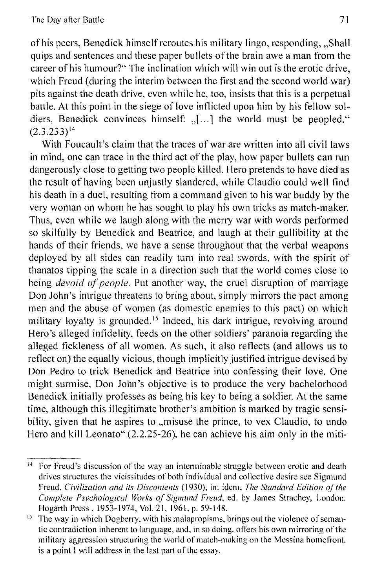of his peers, Benedick himself reroutes his military lingo, responding, "Shall quips and sentences and these paper bullets of the brain awe a man from the career of his humour?" The inclination which will win out is the erotic drive, which Freud (during the interim between the first and the second world war) pits against the death drive, even while he, too, insists that this is a perpetual battle. At this point in the siege of love inflicted upon him by his fellow soldiers, Benedick convinces himself: "[...] the world must be peopled."  $(2.3.233)^{14}$ 

With Foucault's claim that the traces of war are written into all civil laws in mind, one can trace in the third act of the play, how paper bullets can run dangerously close to getting two people killed. Hero pretends to have died as the result of having been unjustly slandered, while Claudio could well find his death in a duel, resulting from a command given to his war buddy by the very woman on whom he has sought to play his own tricks as match-maker. Thus, even while we laugh along with the merry war with words performed so skilfully by Benedick and Beatrice, and laugh at their gullibility at the hands of their friends, we have a sense throughout that the verbal weapons deployed by all sides can readily turn into real swords, with the spirit of thanatos tipping the scale in a direction such that the world comes close to being *devoid of people*. Put another way, the cruel disruption of marriage Don John's intrigue threatens to bring about, simply mirrors the pact among men and the abuse of women (as domestic enemies to this pact) on which military loyalty is grounded.<sup>15</sup> Indeed, his dark intrigue, revolving around Hero's alleged infidelity, feeds on the other soldiers' paranoia regarding the alleged fickleness of all women. As such, it also reflects (and allows us to reflect on) the equally vicious, though implicitly justified intrigue devised by Don Pedro to trick Benedick and Beatrice into confessing their love. One might surmise, Don John's objective is to produce the very bachelorhood Benedick initially professes as being his key to being a soldier. At the same time, although this illegitimate brother's ambition is marked by tragic sensibility, given that he aspires to "misuse the prince, to vex Claudio, to undo Hero and kill Leonato" (2.2.25-26), he can achieve his aim only in the miti-

<sup>&</sup>lt;sup>14</sup> For Freud's discussion of the way an interminable struggle between erotic and death drives structures the vicissitudes of both individual and collective desire see Sigmund Freud, Civilization and its Discontents (1930), in: idem, The Standard Edition of the *Complete Psychological Works of Sigmund Freud, ed. by James Strachey, London:* Hogarth Press. 1953-1974, Vol. 21, 1961. p. 59-148.

 $15$  The way in which Dogberry, with his malapropisms, brings out the violence of semantic contradiction inherent to language, and, in so doing, offers his own mirroring of the military aggression structuring the world of match-making on the Messina home front, is a point I will address in the last part of the essay.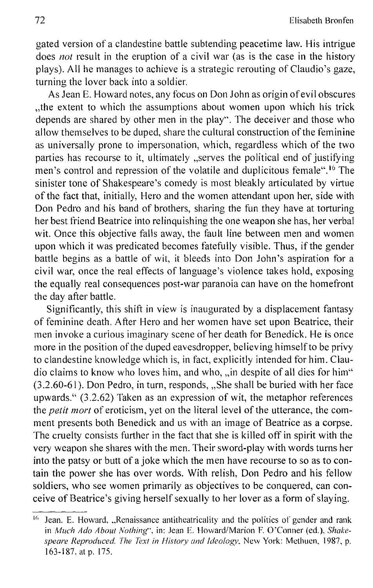gated version of a clandestine battle subtending peacetime law. His intrigue does *not* result in the eruption of a civil war (as is the case in the history plays). All he manages to achieve is a strategic rerouting of Claudio's gaze, turning the lover back into a soldier.

As Jean E. Howard notes, any focus on Don John as origin of evil obscures ..the extent to which the assumptions about women upon which his trick depends are shared by other men in the play". The deceiver and those who allow themselves to be duped, share the cultural construction of the feminine as universally prone to impersonation, which, regardless which of the two parties has recourse to it, ultimately "serves the political end of justifying men's control and repression of the volatile and duplicitous female".<sup>16</sup> The sinister tone of Shakespeare's comedy is most bleakly articulated by virtue of the fact that, initially, Hero and the women attendant upon her, side with Don Pedro and his band of brothers, sharing the fun they have at torturing her best friend Beatrice into relinquishing the one weapon she has, her verbal wit. Once this objective falls away, the fault line between men and women upon which it was predicated becomes fatefully visible. Thus, if the gender battle begins as a battie of wit, it bleeds into Don John's aspiration for a civil war, once the real effects of language's violence takes hold, exposing the equally real consequences post-war paranoia can have on the homefront the day after battle.

Significantly, this shift in view is inaugurated by a displacement fantasy of feminine death. After Hero and her women have set upon Beatrice, their men invoke a curious imaginary scene of her death for Benedick. He is once more in the position of the duped eavesdropper, believing himself to be privy to clandestine knowledge which is, in fact, explicitly intended for him. Claudio claims to know who loves him, and who, "in despite of all dies for him" (3.2.60-61). Don Pedro, in turn, responds, "She shall be buried with her face upwards." (3.2.62) Taken as an expression of wit, the metaphor references the *petit mort* of eroticism, yet on the literal level of the utterance, the comment presents both Benedick and us with an image of Beatrice as a corpse. The cruelty consists further in the fact that she is killed off in spirit with the very weapon she shares with the men. Their sword-play with words turns her into the patsy or butt of a joke which the men have recourse to so as to contain the power she has over words. With relish, Don Pedro and his fellow soldiers, who see women primarily as objectives to be conquered, can conceive of Beatrice's giving herself sexually to her lover as a form of slaying.

 $16$  Jean. E. Howard, .,Renaissance antitheatricality and the politics of gender and rank in *Much Ado About Nothing*", in: Jean E. Howard/Marion F. O'Conner (ed.), Shakespeare Reproduced. The Text in History and Ideology, New York: Methuen, 1987, p. 163-187. at p. 175.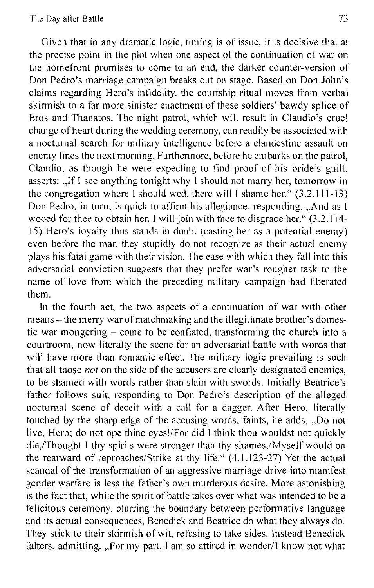Given that in any dramatic logic, timing is of issue, it is decisive that at the precise point in the plot when one aspect of the continuation of war on the homefront promises to come to an end, the darker counter-version of Don Pedro's marriage campaign breaks out on stage. Based on Don John's claims regarding Hero's intidelity, the courtship ritual moves from verbal skirmish to a far more sinister enactment of these soldiers' bawdy splice of Eros and Thanatos. The night patrol, which will result in Claudio's cruel change of heart during the wedding ceremony, can readily be associated with a nocturnal search for military intelligence before a clandestine assault on enemy lines the next morning. Furthermore, before he embarks on the patrol, Claudio, as though he were expecting to find proof of his bride's guilt, asserts: "If I see anything tonight why I should not marry her, tomorrow in the congregation where I should wed, there will I shame her." (3.2.111-13) Don Pedro, in turn, is quick to affirm his allegiance, responding, "And as I wooed for thee to obtain her, I will join with thee to disgrace her." (3.2.114-15) Hero's loyalty thus stands in doubt (casting her as a potential enemy) even before the man they stupidly do not recognize as their actual enemy piays his fatai game with their vision. The ease with which they fall into this adversarial conviction suggests that they prefer war's rougher task to the name of love from which the preceding military campaign had liberated them.

In the fourth act, the two aspects of a continuation of war with other means - the merry war of matchmaking and the illegitimate brother's domestic war mongering  $-$  come to be conflated, transforming the church into a courtroom, now literally the scene for an adversarial battle with words that will have more than romantic effect. The military logic prevailing is such that all those *not* on the side of the accusers are clearly designated enemies, to be shamed with words rather than slain with swords. Initially Beatrice's father follows suit, responding to Don Pedro's description of the alleged nocturnal scene of deceit with a call for a dagger. After Hero, literally touched by the sharp edge of the accusing words, faints, he adds, "Do not live, Hero; do not ope thine eyes!/For did I think thou wouldst not quickly die,/Thought I thy spirits were stronger than thy shames,/Myself would on the rearward of reproaches/Strike at thy life." (4.1.123-27) Yet the actual scandal of the transformation of an aggressive marriage drive into manifest gender warfare is less the father's own murderous desire. More astonishing is the fact that, while the spirit of battle takes over what was intended to be a felicitous ceremony, blurring the boundary between performative language and its actual consequences, Benedick and Beatrice do what they always do. They stick to their skirmish of wit, refusing to take sides. Instead Benedick falters, admitting, "For my part, I am so attired in wonder/I know not what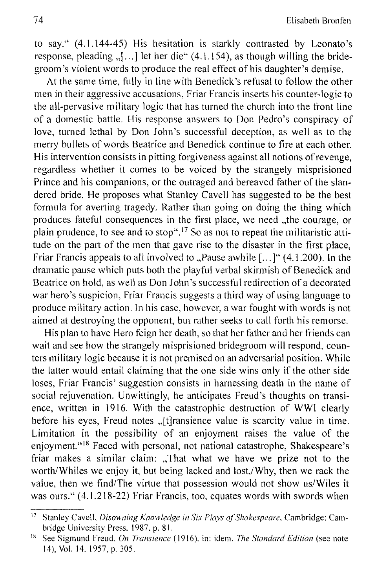to say:' (4.1.144-45) His hesitation is starkly contrasted by Leonato's response, pleading  $\sqrt{...}$  let her die (4.1.154), as though willing the bridegroom's violent words to produce the real effect of his daughter's demise.

At the same time, fully in line with Benedick's refusal to follow the other men in their aggressive accusations, Friar Francis inserts his counter-logic to the all-pervasive military logic that has turned the church into the front line of a domestic battle. His response answers to Don Pedro's conspiracy of love, turned lethal by Don John's successful deception, as well as to the merry bullets of words Beatrice and Benedick continue to fire at each other. His intervention consists in pitting forgiveness against all notions of revenge, regardless whether it comes to be voiced by the strangely misprisioned Prince and his companions, or the outraged and bereaved father of the slandered bride. He proposes what Stanley Cavell has suggested to be the best formula for averting tragedy. Rather than going on doing the thing which produces fateful consequences in the first place, we need , the courage, or plain prudence, to see and to stop".17 So as not to repeat the militaristic attitude on the part of the men that gave rise to the disaster in the first place, Friar Francis appeals to all involved to "Pause awhile  $[...]$  (4.1.200). In the dramatic pause which puts both the playful verbal skirmish of Benedick and Beatrice on hold, as well as Don John's successful redirection of a decorated war hero's suspicion, Friar Francis suggests a third way of using language to produce military action. In his case, however, a war fought with words is not aimed at destroying the opponent, but rather seeks to call forth his remorse.

His plan to have Hero feign her death, so that her father and her friends can wait and see how the strangely misprisioned bridegroom will respond, counters military logic because it is not premised on an adversarial position. While the latter would entail claiming that the one side wins only if the other side loses, Friar Francis' suggestion consists in harnessing death in the name of social rejuvenation. Unwittingly, he anticipates Freud's thoughts on transience, written in 1916. With the catastrophic destruction of WWI clearly before his eyes, Freud notes "[t]ransience value is scarcity value in time. Limitation in the possibility of an enjoyment raises the value of the enjoyment."<sup>18</sup> Faced with personal, not national catastrophe, Shakespeare's friar makes a similar claim: "That what we have we prize not to the worth/Whiles we enjoy it, but being lacked and lost/Why, then we rack the value, then we find/The virtue that possession would not show us/Wiles it was ours." (4.1.218-22) Friar Francis, too, equates words with swords when

<sup>&</sup>lt;sup>17</sup> Stanley Cavell. *Disowning Knowledge in Six Plays of Shakespeare*, Cambridge: Cambridge University Press, 1987, p. 81.

<sup>&</sup>lt;sup>18</sup> See Sigmund Freud, *On Transience* (1916), in: idem, *The Standard Edition* (see note 14), Vol. 14. 1957. p. 305.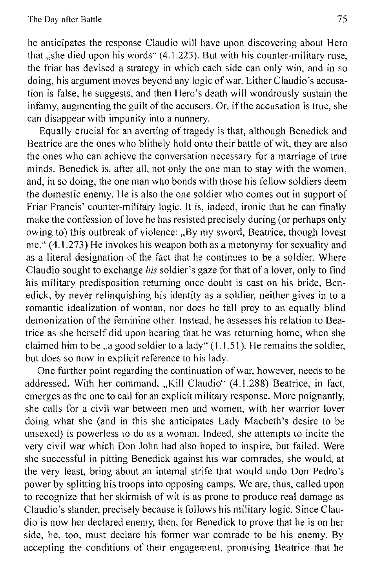he anticipates the response Claudio will have upon discovering about Hero that "she died upon his words" (4.1.223). But with his counter-military ruse, the friar has devised a strategy in which each side can only win, and in so doing, his argument moves beyond any logic of war. Either Claudio's accusation is false, he suggests, and then Hero's death will wondrously sustain the infamy, augmenting the guilt of the accusers. Or, ifthe accusation is true, she can disappear with impunity into a nunnery.

Equally crucial for an averting of tragedy is that, although Benedick and Beatrice are the ones who blithely hold onto their battle of wit, they are also the ones who can achieve the conversation necessary for a marriage of true minds. Benedick is, after all, not only the one man to stay with the women, and, in so doing, the one man who bonds with those his fellow soldiers deem the domestic enemy. He is also the one soldier who comes out in support of Friar Francis' counter-military logic. It is, indeed, ironic that he can finally make the confession of love he has resisted precisely during (or perhaps only owing to) this outbreak of violence: "By my sword, Beatrice, though lovest me." (4.1.273) He invokes his weapon both as a metonymy for sexuality and as a literal designation of the fact that he continues to be a soldier. Where Claudio sought to exchange *his* soldier's gaze for that of a lover, only to find his military predisposition returning once doubt is cast on his bride, Benedick, by never relinquishing his identity as a soldier, neither gives in to a romantic idealization of woman, nor does he fall prey to an equally blind demonization of the feminine other. Instead, he assesses his relation to Beatrice as she herself did upon hearing that he was returning home, when she claimed him to be , a good soldier to a lady"  $(1.1.51)$ . He remains the soldier, but does so now in explicit reference to his lady.

One further point regarding the continuation of war, however, needs to be addressed. With her command, "Kill Claudio" (4.1.288) Beatrice, in fact, emerges as the one to call for an explicit military response. More poignantly, she calls for a civil war between men and women, with her warrior lover doing what she (and in this she anticipates Lady Macbeth's desire to be unsexed) is powerless to do as a woman. Indeed, she attempts to incite the very civil war which Don John had also hoped to inspire, but failed. Were she successful in pitting Benedick against his war comrades, she would, at the very least, bring about an internal strife that would undo Don Pedro's power by splitting his troops into opposing camps. We are, thus, called upon to recognize that her skirmish of wit is as prone to produce real damage as Claudio's slander, precisely because it follows his military logic. Since Claudio is now her declared enemy, then, for Benedick to prove that he is on her side, he, too, must declare his former war comrade to be his enemy. By accepting the conditions of their engagement, promising Beatrice that he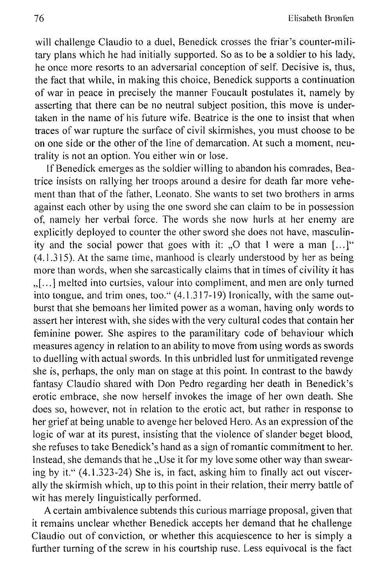will challenge Claudio to a duel, Benedick crosses the friar's counter-military plans which he had initially supported. So as to be a soldier to his lady, he once more resorts to an adversarial conception of self. Decisive is, thus, the fact that while, in making this choice, Benedick supports a continuation of war in peace in precisely the manner Foucault postulates it, namely by asserting that there can be no neutral subject position, this move is undertaken in the name of his future wife. Beatrice is the one to insist that when traces of war rupture the surface of civil skirmishes, you must choose to be on one side or the other of the line of demarcation. At such a moment, neutrality is not an option. You either win or lose.

If Benedick emerges as the soldier willing to abandon his comrades, Beatrice insists on rallying her troops around a desire for death far more vehement than that of the father, Leonato. She wants to set two brothers in arms against each other by using the one sword she can claim to be in possession of, namely her verbal force. The words she now hurls at her enemy are explicitly deployed to counter the other sword she does not have, masculinity and the social power that goes with it:  $\Omega$  that I were a man [...]" (4.1.315). At the same time, manhood is clearly understood by her as being more than words, when she sarcastically claims that in times of civility it has ,,[ ... ]melted into curtsies, valour into compliment, and men are only turned into tongue, and trim ones, too." (4.1.317-19) Ironically, with the same outburst that she bemoans her limited power as a woman, having only words to assert her interest with, she sides with the very cultural codes that contain her feminine power. She aspires to the paramilitary code of behaviour which measures agency in relation to an ability to move from using words as swords to duelling with actual swords. In this unbridled lust for unmitigated revenge she is, perhaps, the only man on stage at this point. **In** contrast to the bawdy fantasy Claudio shared with Don Pedro regarding her death in Benedick's erotic embrace, she now herself invokes the image of her own death. She does so, however, not in relation to the erotic act, but rather in response to her grief at being unable to avenge her beloved Hero. As an expression of the logic of war at its purest, insisting that the violence of slander beget blood, she refuses to take Benedick's hand as a sign of romantic comm itment to her. Instead, she demands that he "Use it for my love some other way than swearing by it." (4.1.323-24) She is, in fact, asking him to finally act out viscerally the skirm ish which, up to this point in their relation, their merry battle of wit has merely linguistically performed.

A certain ambivalence subtends this curious marriage proposal, given that it remains unclear whether Benedick accepts her demand that he challenge Claudio out of conviction, or whether this acquiescence to her is simply a further turning of the screw in his courtship ruse. Less equivocal is the fact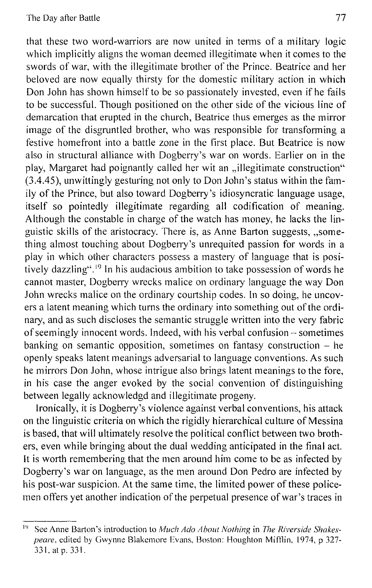that these two word-warriors are now united in terms of a military logic which implicitly aligns the woman deemed illegitimate when it comes to the swords of war, with the illegitimate brother of the Prince. Beatrice and her beloved are now equally thirsty for the domestic military action in which Don John has shown himself to be so passionately invested, even if he fails to be successful. Though positioned on the other side of the vicious line of demarcation that erupted in the church, Beatrice thus emerges as the mirror image of the disgruntled brother, who was responsible for transforming a festive homefront into a battle zone in the first place. But Beatrice is now also in structural alliance with Dogberry's war on words. Earlier on in the play, Margaret had poignantly called her wit an "illegitimate construction" (3.4.45), unwittingly gesturing not only to Don John's status within the family of the Prince, but also toward Dogberry's idiosyncratic language usage, itself so pointedly illegitimate regarding all codification of meaning. Although the constable in charge of the watch has money, he lacks the linguistic skills of the aristocracy. There is, as Anne Barton suggests, "something almost touching about Dogberry's unrequited passion for words in a piay in which other characters possess a mastery of language that is positively dazzling". 19 In his audacious ambition to take possession of words he cannot master, Dogberry wrecks malice on ordinary language the way Don John wrecks malice on the ordinary courtship codes. In so doing, he uncovers a latent meaning which turns the ordinary into something out of the ordinary, and as such discloses the semantic struggle written into the very fabric of seemingly innocent words. Indeed, with his verbal confusion - sometimes  $b$ anking on semantic opposition, sometimes on fantasy construction  $-$  he openly speaks latent meanings adversarial to language conventions. As such he mirrors Don John, whose intrigue also brings latent meanings to the fore, in his case the anger evoked by the social convention of distinguishing between legally acknowledgd and illegitimate progeny.

Ironically, it is Dogberry's violence against verbal conventions, his attack on the linguistic criteria on which the rigidly hierarchical culture of Messina is based, that will ultimately resolve the political conflict between two brothers, even while bringing about the dual wedding anticipated in the final act. It is worth remembering that the men around him come to be as infected by Dogberry's war on language, as the men around Don Pedro are infected by his post-war suspicion. At the same time, the limited power of these policemen offers yet another indication of the perpetual presence of war's traces in

<sup>&</sup>lt;sup>19</sup> See Anne Barton's introduction to *Much Ado About Nothing* in *The Riverside Shakespeare*, edited by Gwynne Blakemore Evans, Boston: Houghton Mifflin, 1974, p 327-331, at p. 331.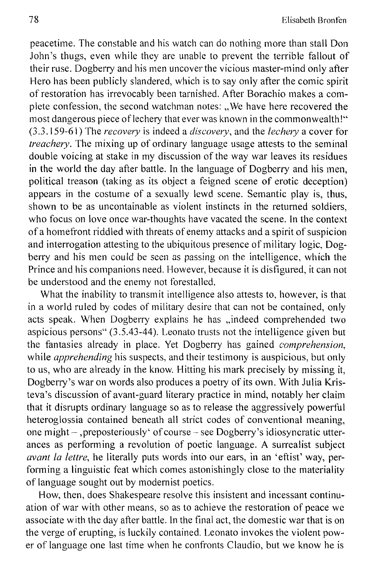peacetime. The constable and his watch can do nothing more than stall Don John's thugs, even while they are unable to prevent the terrible fallout of their ruse. Dogberry and his men uncover the vicious master-mind only after Hero has been publicly slandered, which is to say only after the comic spirit of restoration has irrevocably been tarnished. After Borachio makes a complete confession, the second watchman notes: "We have here recovered the most dangerous piece of lechery that ever was known in the commonwealth!" (3.3.159-61) The *recovery* is indeed a *discovery,* and the *fechefY* a cover for *treachery.* The mixing up of ordinary language usage attests to the seminal double voicing at stake in my discussion of the way war leaves its residues in the world the day after battle. In the language of Dogberry and his men, political treason (taking as its object a feigned scene of erotic deception) appears in the costume of a sexually lewd scene. Semantic play is, thus, shown to be as uncontainable as violent instincts in the returned soldiers, who focus on love once war-thoughts have vacated the scene. In the context ofa homefront riddled with threats of enemy attacks and a spirit of suspicion and interrogation attesting to the ubiquitous presence of military logic, Dogberry and his men could be seen as passing on the intelligence, which the Prince and his companions need. However, because it is disfigured, it can not be understood and the enemy not forestalled.

What the inability to transmit intelligence also attests to, however, is that in a world ruled by codes of military desire that can not be contained, only acts speak. When Dogberry explains he has "indeed comprehended two aspicious persons" (3.5.43-44). Leonato trusts not the intelligence given but the fantasies already in place. Yet Dogberry has gained *comprehension,*  while *apprehending* his suspects, and their testimony is auspicious, but only to us, who are already in the know. Hitting his mark precisely by missing it, Dogberry's war on words also produces a poetry of its own. With Julia Kristeva's discussion of avant-guard literary practice in mind, notably her claim that it disrupts ordinary language so as to release the aggressively powerful heteroglossia contained beneath all strict codes of conventional meaning, one might - ,preposteriously' of course - see Dogberry's idiosyncratic utterances as performing a revolution of poetic language. A surrealist subject *avant fa iettre,* he literally puts words into our ears, in an 'eftist' way, performing a linguistic feat which comes astonishingly close to the materiality of language sought out by modernist poetics.

How, then, does Shakespeare resolve this insistent and incessant continuation of war with other means, so as to achieve the restoration of peace we associate with the day after battle. In the final act, the domestic war that is on the verge of erupting, is luckily contained. Leonato invokes the violent power of language one last time when he confronts Claudio, but we know he is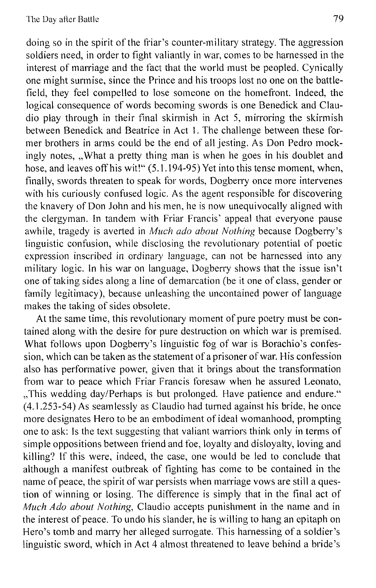doing so in the spirit of the friar's counter-military strategy. The aggression soldiers need, in order to fight valiantly in war, comes to be harnessed in the interest of marriage and the fact that the world must be peopled. Cynically one might surmise, since the Prince and his troops lost no one on the battlefield, they feel compelled to lose someone on the homefront. Indeed, the logical consequence of words becoming swords is one Benedick and Claudio play through in their final skirmish in Act 5, mirroring the skirmish between Benedick and Beatrice in Act I. The challenge between these former brothers in arms could be the end of all jesting. As Don Pedro mockingly notes, "What a pretty thing man is when he goes in his doublet and hose, and leaves off his wit!" (5.1.194-95) Yet into this tense moment, when, finally, swords threaten to speak for words, Dogberry once more intervenes with his curiously confused logic. As the agent responsible for discovering the knavery of Don John and his men, he is now unequivocally aligned with the clergyman. In tandem with Friar Francis' appeal that everyone pause awhile, tragedy is averted in *Much ado about Nothing* because Dogberry's linguistic confusion, while disclosing the revolutionary potential of poetic expression inscribed in ordinary language, can not be harnessed into any military logic. In his war on language, Dogberry shows that the issue isn't one of taking sides along a line of demarcation (be it one of class, gender or family legitimacy), because unleashing the uncontained power of language makes the taking of sides obsolete.

At the same time, this revolutionary moment of pure poetry must be contained along with the desire for pure destruction on which war is premised. What follows upon Dogberry's linguistic fog of war is Borachio's confession, which can be taken as the statement of a prisoner of war. His confession also has perfonnative power, given that it brings about the transformation from war to peace which Friar Francis foresaw when he assured Leonato, "This wedding day/Perhaps is but prolonged. Have patience and endure." (4.1.253-54) As seamlessly as Claudio had turned against his bride, he once more designates Hero to be an embodiment of ideal womanhood, prompting one to ask: Is the text suggesting that valiant warriors think only in terms of simple oppositions between friend and foe, loyalty and disloyalty, loving and killing? If this were, indeed, the case, one would be led to conclude that although a manifest outbreak of fighting has come to be contained in the name of peace, the spirit of war persists when marriage vows are still a question of winning or losing. The difference is simply that in the final act of *Much Ado about Nothing,* Claudio accepts punishment in the name and in the interest of peace. To undo his slander, he is willing to hang an epitaph on Hero's tomb and marry her alleged surrogate. This harnessing of a soldier's linguistic sword, which in Act 4 almost threatened to leave behind a bride's